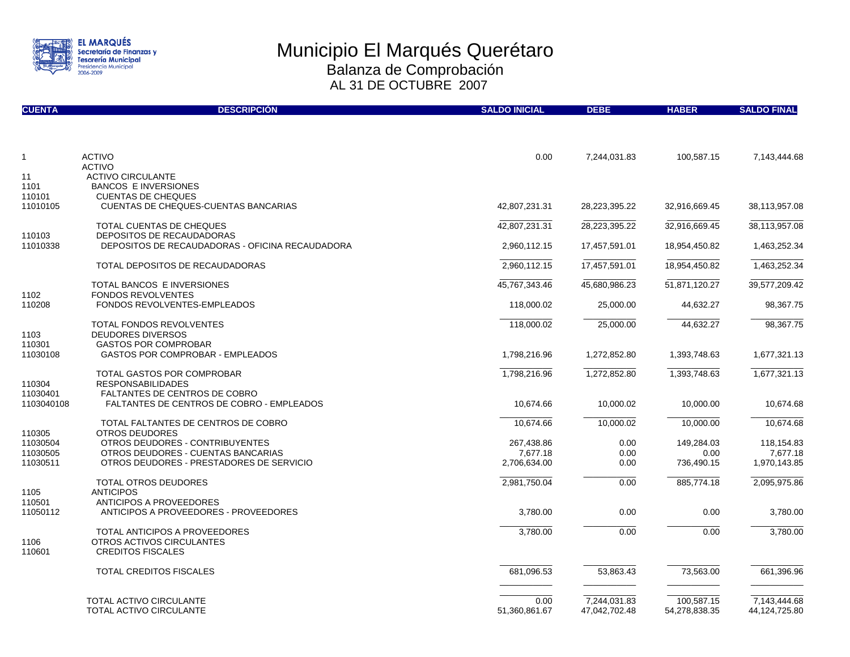

| <b>CUENTA</b>        | <b>DESCRIPCIÓN</b>                                                           | <b>SALDO INICIAL</b>     | <b>DEBE</b>                   | <b>HABER</b>                | <b>SALDO FINAL</b>            |
|----------------------|------------------------------------------------------------------------------|--------------------------|-------------------------------|-----------------------------|-------------------------------|
|                      |                                                                              |                          |                               |                             |                               |
| $\mathbf{1}$         | <b>ACTIVO</b>                                                                | 0.00                     | 7,244,031.83                  | 100,587.15                  | 7,143,444.68                  |
| 11                   | <b>ACTIVO</b><br><b>ACTIVO CIRCULANTE</b>                                    |                          |                               |                             |                               |
| 1101                 | <b>BANCOS E INVERSIONES</b>                                                  |                          |                               |                             |                               |
| 110101               | <b>CUENTAS DE CHEQUES</b>                                                    |                          |                               |                             |                               |
| 11010105             | <b>CUENTAS DE CHEQUES-CUENTAS BANCARIAS</b>                                  | 42,807,231.31            | 28,223,395.22                 | 32,916,669.45               | 38,113,957.08                 |
|                      | TOTAL CUENTAS DE CHEQUES                                                     | 42,807,231.31            | 28,223,395.22                 | 32,916,669.45               | 38,113,957.08                 |
| 110103<br>11010338   | DEPOSITOS DE RECAUDADORAS<br>DEPOSITOS DE RECAUDADORAS - OFICINA RECAUDADORA |                          |                               |                             |                               |
|                      |                                                                              | 2,960,112.15             | 17,457,591.01                 | 18,954,450.82               | 1,463,252.34                  |
|                      | TOTAL DEPOSITOS DE RECAUDADORAS                                              | 2,960,112.15             | 17,457,591.01                 | 18,954,450.82               | 1,463,252.34                  |
|                      | TOTAL BANCOS E INVERSIONES                                                   | 45,767,343.46            | 45,680,986.23                 | 51,871,120.27               | 39,577,209.42                 |
| 1102                 | <b>FONDOS REVOLVENTES</b>                                                    |                          |                               |                             |                               |
| 110208               | <b>FONDOS REVOLVENTES-EMPLEADOS</b>                                          | 118,000.02               | 25,000.00                     | 44,632.27                   | 98,367.75                     |
|                      | TOTAL FONDOS REVOLVENTES                                                     | 118,000.02               | 25,000.00                     | 44,632.27                   | 98,367.75                     |
| 1103                 | <b>DEUDORES DIVERSOS</b>                                                     |                          |                               |                             |                               |
| 110301<br>11030108   | <b>GASTOS POR COMPROBAR</b><br><b>GASTOS POR COMPROBAR - EMPLEADOS</b>       | 1,798,216.96             | 1,272,852.80                  | 1,393,748.63                | 1,677,321.13                  |
|                      | <b>TOTAL GASTOS POR COMPROBAR</b>                                            |                          |                               |                             |                               |
| 110304               | <b>RESPONSABILIDADES</b>                                                     | 1,798,216.96             | 1,272,852.80                  | 1,393,748.63                | 1,677,321.13                  |
| 11030401             | <b>FALTANTES DE CENTROS DE COBRO</b>                                         |                          |                               |                             |                               |
| 1103040108           | <b>FALTANTES DE CENTROS DE COBRO - EMPLEADOS</b>                             | 10,674.66                | 10,000.02                     | 10,000.00                   | 10,674.68                     |
|                      | TOTAL FALTANTES DE CENTROS DE COBRO                                          | 10,674.66                | 10,000.02                     | 10,000.00                   | 10,674.68                     |
| 110305               | <b>OTROS DEUDORES</b>                                                        |                          |                               |                             |                               |
| 11030504             | OTROS DEUDORES - CONTRIBUYENTES<br>OTROS DEUDORES - CUENTAS BANCARIAS        | 267,438.86               | 0.00                          | 149,284.03                  | 118,154.83                    |
| 11030505<br>11030511 | OTROS DEUDORES - PRESTADORES DE SERVICIO                                     | 7,677.18<br>2,706,634.00 | 0.00<br>0.00                  | 0.00<br>736,490.15          | 7,677.18<br>1,970,143.85      |
|                      |                                                                              |                          |                               |                             |                               |
|                      | <b>TOTAL OTROS DEUDORES</b>                                                  | 2,981,750.04             | 0.00                          | 885,774.18                  | 2,095,975.86                  |
| 1105<br>110501       | <b>ANTICIPOS</b><br><b>ANTICIPOS A PROVEEDORES</b>                           |                          |                               |                             |                               |
| 11050112             | ANTICIPOS A PROVEEDORES - PROVEEDORES                                        | 3,780.00                 | 0.00                          | 0.00                        | 3,780.00                      |
|                      |                                                                              |                          |                               |                             |                               |
|                      | TOTAL ANTICIPOS A PROVEEDORES                                                | 3,780.00                 | 0.00                          | 0.00                        | 3,780.00                      |
| 1106<br>110601       | OTROS ACTIVOS CIRCULANTES<br><b>CREDITOS FISCALES</b>                        |                          |                               |                             |                               |
|                      |                                                                              |                          |                               |                             |                               |
|                      | TOTAL CREDITOS FISCALES                                                      | 681,096.53               | 53,863.43                     | 73,563.00                   | 661,396.96                    |
|                      |                                                                              |                          |                               |                             |                               |
|                      | TOTAL ACTIVO CIRCULANTE<br><b>TOTAL ACTIVO CIRCULANTE</b>                    | 0.00<br>51,360,861.67    | 7,244,031.83<br>47,042,702.48 | 100,587.15<br>54,278,838.35 | 7,143,444.68<br>44,124,725.80 |
|                      |                                                                              |                          |                               |                             |                               |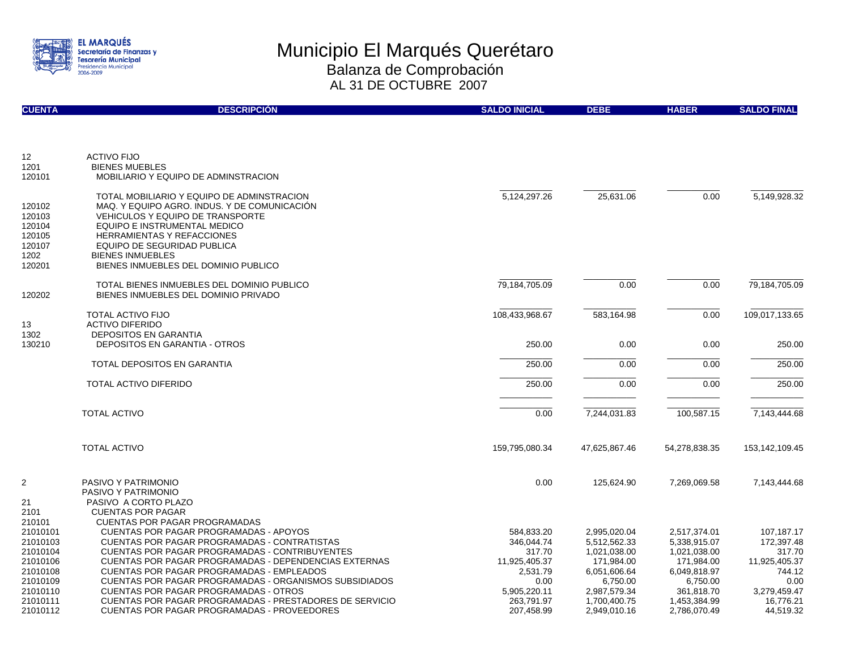

| <b>CUENTA</b>                                                                                                      | <b>DESCRIPCIÓN</b>                                                                                                                                                                                                                                                                                                                                                                                                                                                                                                       | <b>SALDO INICIAL</b>                                                                                                | <b>DEBE</b>                                                                                                                            | <b>HABER</b>                                                                                                                         | <b>SALDO FINAL</b>                                                                                              |
|--------------------------------------------------------------------------------------------------------------------|--------------------------------------------------------------------------------------------------------------------------------------------------------------------------------------------------------------------------------------------------------------------------------------------------------------------------------------------------------------------------------------------------------------------------------------------------------------------------------------------------------------------------|---------------------------------------------------------------------------------------------------------------------|----------------------------------------------------------------------------------------------------------------------------------------|--------------------------------------------------------------------------------------------------------------------------------------|-----------------------------------------------------------------------------------------------------------------|
| 12                                                                                                                 | <b>ACTIVO FIJO</b>                                                                                                                                                                                                                                                                                                                                                                                                                                                                                                       |                                                                                                                     |                                                                                                                                        |                                                                                                                                      |                                                                                                                 |
| 1201<br>120101                                                                                                     | <b>BIENES MUEBLES</b><br>MOBILIARIO Y EQUIPO DE ADMINSTRACION                                                                                                                                                                                                                                                                                                                                                                                                                                                            |                                                                                                                     |                                                                                                                                        |                                                                                                                                      |                                                                                                                 |
| 120102<br>120103<br>120104<br>120105<br>120107<br>1202<br>120201                                                   | TOTAL MOBILIARIO Y EQUIPO DE ADMINSTRACION<br>MAQ. Y EQUIPO AGRO. INDUS. Y DE COMUNICACION<br><b>VEHICULOS Y EQUIPO DE TRANSPORTE</b><br>EQUIPO E INSTRUMENTAL MEDICO<br><b>HERRAMIENTAS Y REFACCIONES</b><br><b>EQUIPO DE SEGURIDAD PUBLICA</b><br><b>BIENES INMUEBLES</b><br>BIENES INMUEBLES DEL DOMINIO PUBLICO                                                                                                                                                                                                      | 5,124,297.26                                                                                                        | 25,631.06                                                                                                                              | 0.00                                                                                                                                 | 5,149,928.32                                                                                                    |
| 120202                                                                                                             | TOTAL BIENES INMUEBLES DEL DOMINIO PUBLICO<br>BIENES INMUEBLES DEL DOMINIO PRIVADO                                                                                                                                                                                                                                                                                                                                                                                                                                       | 79,184,705.09                                                                                                       | 0.00                                                                                                                                   | 0.00                                                                                                                                 | 79,184,705.09                                                                                                   |
| 13<br>1302                                                                                                         | <b>TOTAL ACTIVO FIJO</b><br><b>ACTIVO DIFERIDO</b><br>DEPOSITOS EN GARANTIA                                                                                                                                                                                                                                                                                                                                                                                                                                              | 108,433,968.67                                                                                                      | 583,164.98                                                                                                                             | 0.00                                                                                                                                 | 109,017,133.65                                                                                                  |
| 130210                                                                                                             | <b>DEPOSITOS EN GARANTIA - OTROS</b>                                                                                                                                                                                                                                                                                                                                                                                                                                                                                     | 250.00                                                                                                              | 0.00                                                                                                                                   | 0.00                                                                                                                                 | 250.00                                                                                                          |
|                                                                                                                    | <b>TOTAL DEPOSITOS EN GARANTIA</b>                                                                                                                                                                                                                                                                                                                                                                                                                                                                                       | 250.00                                                                                                              | 0.00                                                                                                                                   | 0.00                                                                                                                                 | 250.00                                                                                                          |
|                                                                                                                    | TOTAL ACTIVO DIFERIDO                                                                                                                                                                                                                                                                                                                                                                                                                                                                                                    | 250.00                                                                                                              | 0.00                                                                                                                                   | 0.00                                                                                                                                 | 250.00                                                                                                          |
|                                                                                                                    | <b>TOTAL ACTIVO</b>                                                                                                                                                                                                                                                                                                                                                                                                                                                                                                      | 0.00                                                                                                                | 7,244,031.83                                                                                                                           | 100,587.15                                                                                                                           | 7,143,444.68                                                                                                    |
|                                                                                                                    | <b>TOTAL ACTIVO</b>                                                                                                                                                                                                                                                                                                                                                                                                                                                                                                      | 159,795,080.34                                                                                                      | 47,625,867.46                                                                                                                          | 54,278,838.35                                                                                                                        | 153,142,109.45                                                                                                  |
| $\overline{2}$<br>21<br>2101                                                                                       | PASIVO Y PATRIMONIO<br>PASIVO Y PATRIMONIO<br>PASIVO A CORTO PLAZO<br><b>CUENTAS POR PAGAR</b>                                                                                                                                                                                                                                                                                                                                                                                                                           | 0.00                                                                                                                | 125.624.90                                                                                                                             | 7.269.069.58                                                                                                                         | 7,143,444.68                                                                                                    |
| 210101<br>21010101<br>21010103<br>21010104<br>21010106<br>21010108<br>21010109<br>21010110<br>21010111<br>21010112 | <b>CUENTAS POR PAGAR PROGRAMADAS</b><br><b>CUENTAS POR PAGAR PROGRAMADAS - APOYOS</b><br>CUENTAS POR PAGAR PROGRAMADAS - CONTRATISTAS<br>CUENTAS POR PAGAR PROGRAMADAS - CONTRIBUYENTES<br><b>CUENTAS POR PAGAR PROGRAMADAS - DEPENDENCIAS EXTERNAS</b><br>CUENTAS POR PAGAR PROGRAMADAS - EMPLEADOS<br>CUENTAS POR PAGAR PROGRAMADAS - ORGANISMOS SUBSIDIADOS<br><b>CUENTAS POR PAGAR PROGRAMADAS - OTROS</b><br>CUENTAS POR PAGAR PROGRAMADAS - PRESTADORES DE SERVICIO<br>CUENTAS POR PAGAR PROGRAMADAS - PROVEEDORES | 584.833.20<br>346,044.74<br>317.70<br>11,925,405.37<br>2,531.79<br>0.00<br>5,905,220.11<br>263.791.97<br>207,458.99 | 2,995,020.04<br>5,512,562.33<br>1,021,038.00<br>171,984.00<br>6,051,606.64<br>6,750.00<br>2,987,579.34<br>1.700.400.75<br>2,949,010.16 | 2,517,374.01<br>5,338,915.07<br>1,021,038.00<br>171,984.00<br>6,049,818.97<br>6,750.00<br>361,818.70<br>1.453.384.99<br>2,786,070.49 | 107.187.17<br>172,397.48<br>317.70<br>11,925,405.37<br>744.12<br>0.00<br>3,279,459.47<br>16.776.21<br>44,519.32 |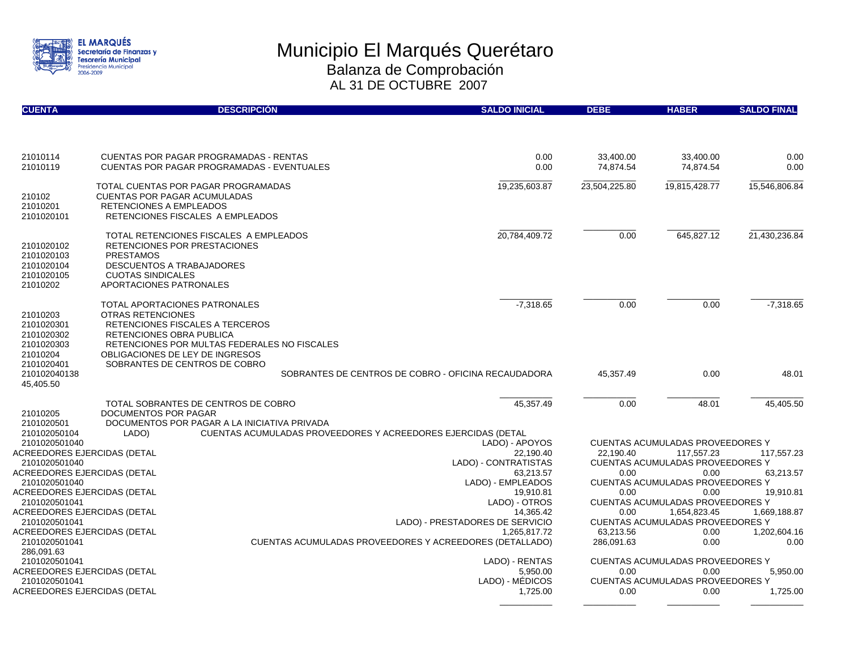

| <b>CUENTA</b>                                                                | <b>DESCRIPCIÓN</b>                                                                                                                                                                                                                           |                                                              | <b>SALDO INICIAL</b>                                                    | <b>DEBE</b>             | <b>HABER</b>                                                                                     | <b>SALDO FINAL</b>     |
|------------------------------------------------------------------------------|----------------------------------------------------------------------------------------------------------------------------------------------------------------------------------------------------------------------------------------------|--------------------------------------------------------------|-------------------------------------------------------------------------|-------------------------|--------------------------------------------------------------------------------------------------|------------------------|
|                                                                              |                                                                                                                                                                                                                                              |                                                              |                                                                         |                         |                                                                                                  |                        |
| 21010114<br>21010119                                                         | <b>CUENTAS POR PAGAR PROGRAMADAS - RENTAS</b><br>CUENTAS POR PAGAR PROGRAMADAS - EVENTUALES                                                                                                                                                  |                                                              | 0.00<br>0.00                                                            | 33,400.00<br>74,874.54  | 33,400.00<br>74,874.54                                                                           | 0.00<br>0.00           |
| 210102<br>21010201<br>2101020101                                             | TOTAL CUENTAS POR PAGAR PROGRAMADAS<br><b>CUENTAS POR PAGAR ACUMULADAS</b><br>RETENCIONES A EMPLEADOS<br>RETENCIONES FISCALES A EMPLEADOS                                                                                                    |                                                              | 19,235,603.87                                                           | 23,504,225.80           | 19,815,428.77                                                                                    | 15,546,806.84          |
| 2101020102<br>2101020103<br>2101020104<br>2101020105<br>21010202             | TOTAL RETENCIONES FISCALES A EMPLEADOS<br>RETENCIONES POR PRESTACIONES<br><b>PRESTAMOS</b><br><b>DESCUENTOS A TRABAJADORES</b><br><b>CUOTAS SINDICALES</b><br>APORTACIONES PATRONALES                                                        |                                                              | 20,784,409.72                                                           | 0.00                    | 645,827.12                                                                                       | 21,430,236.84          |
| 21010203<br>2101020301<br>2101020302<br>2101020303<br>21010204<br>2101020401 | TOTAL APORTACIONES PATRONALES<br><b>OTRAS RETENCIONES</b><br>RETENCIONES FISCALES A TERCEROS<br>RETENCIONES OBRA PUBLICA<br>RETENCIONES POR MULTAS FEDERALES NO FISCALES<br>OBLIGACIONES DE LEY DE INGRESOS<br>SOBRANTES DE CENTROS DE COBRO |                                                              | $-7,318.65$                                                             | 0.00                    | 0.00                                                                                             | $-7,318.65$            |
| 210102040138<br>45,405.50                                                    |                                                                                                                                                                                                                                              |                                                              | SOBRANTES DE CENTROS DE COBRO - OFICINA RECAUDADORA                     | 45,357.49               | 0.00                                                                                             | 48.01                  |
| 21010205<br>2101020501<br>210102050104                                       | TOTAL SOBRANTES DE CENTROS DE COBRO<br>DOCUMENTOS POR PAGAR<br>DOCUMENTOS POR PAGAR A LA INICIATIVA PRIVADA<br>LADO)                                                                                                                         | CUENTAS ACUMULADAS PROVEEDORES Y ACREEDORES EJERCIDAS (DETAL | 45,357.49                                                               | 0.00                    | 48.01                                                                                            | 45,405.50              |
| 2101020501040<br>ACREEDORES EJERCIDAS (DETAL<br>2101020501040                |                                                                                                                                                                                                                                              |                                                              | LADO) - APOYOS<br>22,190.40<br>LADO) - CONTRATISTAS                     | 22.190.40               | <b>CUENTAS ACUMULADAS PROVEEDORES Y</b><br>117.557.23<br><b>CUENTAS ACUMULADAS PROVEEDORES Y</b> | 117.557.23             |
| ACREEDORES EJERCIDAS (DETAL<br>2101020501040<br>ACREEDORES EJERCIDAS (DETAL  |                                                                                                                                                                                                                                              |                                                              | 63,213.57<br>LADO) - EMPLEADOS<br>19,910.81                             | 0.00<br>0.00            | 0.00<br><b>CUENTAS ACUMULADAS PROVEEDORES Y</b><br>0.00                                          | 63,213.57<br>19,910.81 |
| 2101020501041<br>ACREEDORES EJERCIDAS (DETAL<br>2101020501041                |                                                                                                                                                                                                                                              |                                                              | LADO) - OTROS<br>14,365.42<br>LADO) - PRESTADORES DE SERVICIO           | 0.00                    | <b>CUENTAS ACUMULADAS PROVEEDORES Y</b><br>1,654,823.45<br>CUENTAS ACUMULADAS PROVEEDORES Y      | 1,669,188.87           |
| ACREEDORES EJERCIDAS (DETAL<br>2101020501041<br>286,091.63                   |                                                                                                                                                                                                                                              |                                                              | 1,265,817.72<br>CUENTAS ACUMULADAS PROVEEDORES Y ACREEDORES (DETALLADO) | 63,213.56<br>286,091.63 | 0.00<br>0.00                                                                                     | 1,202,604.16<br>0.00   |
| 2101020501041<br>ACREEDORES EJERCIDAS (DETAL                                 |                                                                                                                                                                                                                                              |                                                              | LADO) - RENTAS<br>5,950.00                                              | 0.00                    | CUENTAS ACUMULADAS PROVEEDORES Y<br>0.00                                                         | 5,950.00               |
| 2101020501041<br>ACREEDORES EJERCIDAS (DETAL                                 |                                                                                                                                                                                                                                              |                                                              | LADO) - MEDICOS<br>1,725.00                                             | 0.00                    | <b>CUENTAS ACUMULADAS PROVEEDORES Y</b><br>0.00                                                  | 1,725.00               |

 $\overline{\phantom{a}}$  ,  $\overline{\phantom{a}}$  ,  $\overline{\phantom{a}}$  ,  $\overline{\phantom{a}}$  ,  $\overline{\phantom{a}}$  ,  $\overline{\phantom{a}}$  ,  $\overline{\phantom{a}}$  ,  $\overline{\phantom{a}}$  ,  $\overline{\phantom{a}}$  ,  $\overline{\phantom{a}}$  ,  $\overline{\phantom{a}}$  ,  $\overline{\phantom{a}}$  ,  $\overline{\phantom{a}}$  ,  $\overline{\phantom{a}}$  ,  $\overline{\phantom{a}}$  ,  $\overline{\phantom{a}}$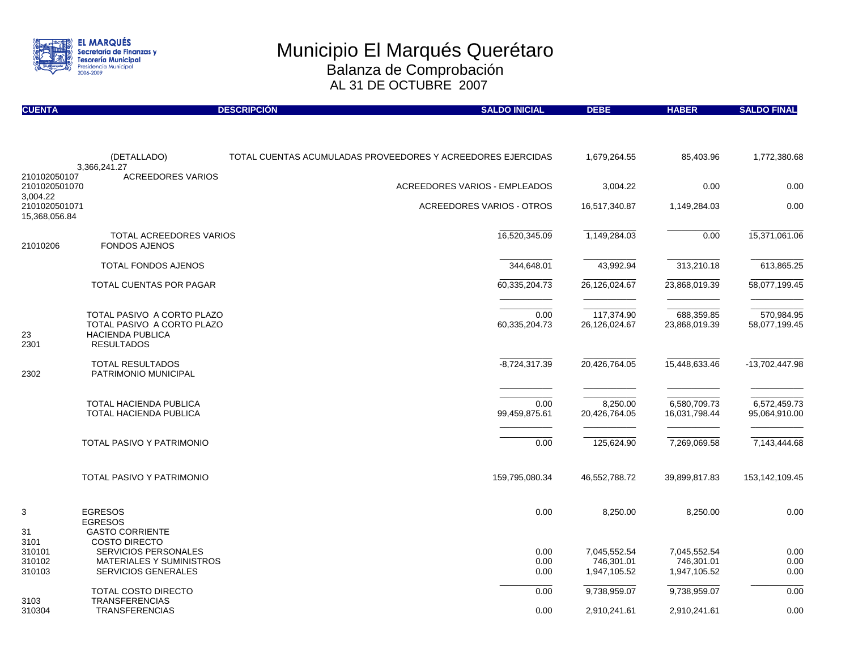

| <b>CUENTA</b>                              |                                                                                                          | <b>DESCRIPCIÓN</b> | <b>SALDO INICIAL</b>                                        | <b>DEBE</b>                 | <b>HABER</b>                  | <b>SALDO FINAL</b>            |
|--------------------------------------------|----------------------------------------------------------------------------------------------------------|--------------------|-------------------------------------------------------------|-----------------------------|-------------------------------|-------------------------------|
|                                            |                                                                                                          |                    |                                                             |                             |                               |                               |
|                                            | (DETALLADO)<br>3,366,241.27                                                                              |                    | TOTAL CUENTAS ACUMULADAS PROVEEDORES Y ACREEDORES EJERCIDAS | 1,679,264.55                | 85,403.96                     | 1,772,380.68                  |
| 210102050107<br>2101020501070              | <b>ACREEDORES VARIOS</b>                                                                                 |                    | <b>ACREEDORES VARIOS - EMPLEADOS</b>                        | 3,004.22                    | 0.00                          | 0.00                          |
| 3,004.22<br>2101020501071<br>15,368,056.84 |                                                                                                          |                    | <b>ACREEDORES VARIOS - OTROS</b>                            | 16,517,340.87               | 1,149,284.03                  | 0.00                          |
| 21010206                                   | TOTAL ACREEDORES VARIOS<br><b>FONDOS AJENOS</b>                                                          |                    | 16,520,345.09                                               | 1,149,284.03                | 0.00                          | 15,371,061.06                 |
|                                            | TOTAL FONDOS AJENOS                                                                                      |                    | 344,648.01                                                  | 43,992.94                   | 313,210.18                    | 613,865.25                    |
|                                            | TOTAL CUENTAS POR PAGAR                                                                                  |                    | 60,335,204.73                                               | 26,126,024.67               | 23,868,019.39                 | 58,077,199.45                 |
| 23<br>2301                                 | TOTAL PASIVO A CORTO PLAZO<br>TOTAL PASIVO A CORTO PLAZO<br><b>HACIENDA PUBLICA</b><br><b>RESULTADOS</b> |                    | 0.00<br>60,335,204.73                                       | 117,374.90<br>26,126,024.67 | 688,359.85<br>23,868,019.39   | 570,984.95<br>58,077,199.45   |
| 2302                                       | <b>TOTAL RESULTADOS</b><br>PATRIMONIO MUNICIPAL                                                          |                    | $-8,724,317.39$                                             | 20,426,764.05               | 15,448,633.46                 | -13,702,447.98                |
|                                            | TOTAL HACIENDA PUBLICA<br><b>TOTAL HACIENDA PUBLICA</b>                                                  |                    | 0.00<br>99,459,875.61                                       | 8,250.00<br>20,426,764.05   | 6,580,709.73<br>16,031,798.44 | 6,572,459.73<br>95,064,910.00 |
|                                            | <b>TOTAL PASIVO Y PATRIMONIO</b>                                                                         |                    | 0.00                                                        | 125,624.90                  | 7,269,069.58                  | 7,143,444.68                  |
|                                            | TOTAL PASIVO Y PATRIMONIO                                                                                |                    | 159,795,080.34                                              | 46,552,788.72               | 39,899,817.83                 | 153,142,109.45                |
| 3<br>31<br>3101                            | <b>EGRESOS</b><br><b>EGRESOS</b><br><b>GASTO CORRIENTE</b><br><b>COSTO DIRECTO</b>                       |                    | 0.00                                                        | 8,250.00                    | 8,250.00                      | 0.00                          |
| 310101                                     | <b>SERVICIOS PERSONALES</b>                                                                              |                    | 0.00                                                        | 7,045,552.54                | 7,045,552.54                  | 0.00                          |
| 310102<br>310103                           | <b>MATERIALES Y SUMINISTROS</b><br><b>SERVICIOS GENERALES</b>                                            |                    | 0.00<br>0.00                                                | 746,301.01<br>1,947,105.52  | 746,301.01<br>1,947,105.52    | 0.00<br>0.00                  |
| 3103                                       | TOTAL COSTO DIRECTO<br><b>TRANSFERENCIAS</b>                                                             |                    | 0.00                                                        | 9,738,959.07                | 9,738,959.07                  | 0.00                          |
| 310304                                     | <b>TRANSFERENCIAS</b>                                                                                    |                    | 0.00                                                        | 2,910,241.61                | 2,910,241.61                  | 0.00                          |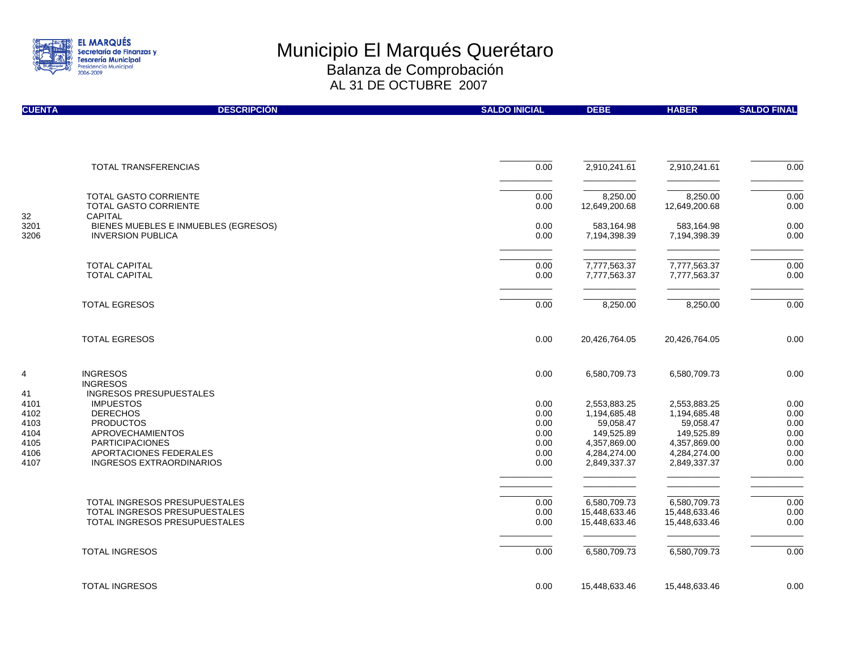

| <b>CUENTA</b> | <b>DESCRIPCIÓN</b>                                               | <b>SALDO INICIAL</b> | <b>DEBE</b>                | <b>HABER</b>               | <b>SALDO FINAL</b> |
|---------------|------------------------------------------------------------------|----------------------|----------------------------|----------------------------|--------------------|
|               |                                                                  |                      |                            |                            |                    |
|               | TOTAL TRANSFERENCIAS                                             | 0.00                 | 2,910,241.61               | 2,910,241.61               | 0.00               |
|               |                                                                  |                      |                            |                            |                    |
|               | <b>TOTAL GASTO CORRIENTE</b>                                     | 0.00                 | 8,250.00                   | 8,250.00                   | 0.00               |
|               | <b>TOTAL GASTO CORRIENTE</b>                                     | 0.00                 | 12,649,200.68              | 12,649,200.68              | 0.00               |
| 32            | <b>CAPITAL</b>                                                   |                      |                            |                            |                    |
| 3201<br>3206  | BIENES MUEBLES E INMUEBLES (EGRESOS)<br><b>INVERSION PUBLICA</b> | 0.00<br>0.00         | 583,164.98<br>7,194,398.39 | 583,164.98<br>7,194,398.39 | 0.00<br>0.00       |
|               |                                                                  |                      |                            |                            |                    |
|               | <b>TOTAL CAPITAL</b>                                             | 0.00                 | 7,777,563.37               | 7,777,563.37               | 0.00               |
|               | <b>TOTAL CAPITAL</b>                                             | 0.00                 | 7,777,563.37               | 7,777,563.37               | 0.00               |
|               | <b>TOTAL EGRESOS</b>                                             | 0.00                 | 8,250.00                   | 8,250.00                   | 0.00               |
|               |                                                                  |                      |                            |                            |                    |
|               | <b>TOTAL EGRESOS</b>                                             | 0.00                 | 20,426,764.05              | 20,426,764.05              | 0.00               |
| 4             | <b>INGRESOS</b><br><b>INGRESOS</b>                               | 0.00                 | 6,580,709.73               | 6,580,709.73               | 0.00               |
| 41            | <b>INGRESOS PRESUPUESTALES</b>                                   |                      |                            |                            |                    |
| 4101          | <b>IMPUESTOS</b>                                                 | 0.00                 | 2,553,883.25               | 2,553,883.25               | 0.00               |
| 4102          | <b>DERECHOS</b>                                                  | 0.00                 | 1,194,685.48               | 1,194,685.48               | 0.00               |
| 4103          | <b>PRODUCTOS</b>                                                 | 0.00                 | 59,058.47                  | 59,058.47                  | 0.00               |
| 4104          | <b>APROVECHAMIENTOS</b>                                          | 0.00                 | 149,525.89                 | 149,525.89                 | 0.00               |
| 4105          | <b>PARTICIPACIONES</b>                                           | 0.00                 | 4,357,869.00               | 4,357,869.00               | 0.00               |
| 4106          | APORTACIONES FEDERALES                                           | 0.00                 | 4,284,274.00               | 4,284,274.00               | 0.00               |
| 4107          | <b>INGRESOS EXTRAORDINARIOS</b>                                  | 0.00                 | 2,849,337.37               | 2,849,337.37               | 0.00               |
|               |                                                                  |                      |                            |                            |                    |
|               | TOTAL INGRESOS PRESUPUESTALES                                    | 0.00                 | 6,580,709.73               | 6,580,709.73               | 0.00               |
|               | TOTAL INGRESOS PRESUPUESTALES                                    | 0.00                 | 15,448,633.46              | 15,448,633.46              | 0.00               |
|               | TOTAL INGRESOS PRESUPUESTALES                                    | 0.00                 | 15,448,633.46              | 15,448,633.46              | 0.00               |
|               | <b>TOTAL INGRESOS</b>                                            | 0.00                 | 6,580,709.73               | 6,580,709.73               | 0.00               |
|               |                                                                  |                      |                            |                            |                    |
|               | <b>TOTAL INGRESOS</b>                                            | 0.00                 | 15,448,633.46              | 15,448,633.46              | 0.00               |